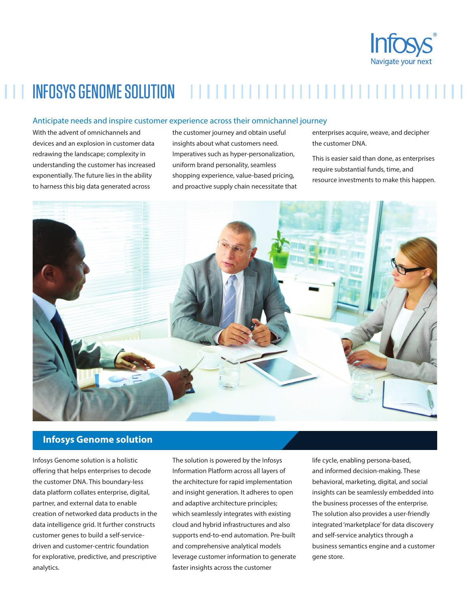

# INFOSYS GENOME SOLUTION

#### Anticipate needs and inspire customer experience across their omnichannel journey

With the advent of omnichannels and devices and an explosion in customer data redrawing the landscape; complexity in understanding the customer has increased exponentially. The future lies in the ability to harness this big data generated across

the customer journey and obtain useful insights about what customers need. Imperatives such as hyper-personalization, uniform brand personality, seamless shopping experience, value-based pricing, and proactive supply chain necessitate that

enterprises acquire, weave, and decipher the customer DNA.

This is easier said than done, as enterprises require substantial funds, time, and resource investments to make this happen.



#### **Infosys Genome solution**

Infosys Genome solution is a holistic offering that helps enterprises to decode the customer DNA. This boundary-less data platform collates enterprise, digital, partner, and external data to enable creation of networked data products in the data intelligence grid. It further constructs customer genes to build a self-servicedriven and customer-centric foundation for explorative, predictive, and prescriptive analytics.

The solution is powered by the Infosys Information Platform across all layers of the architecture for rapid implementation and insight generation. It adheres to open and adaptive architecture principles; which seamlessly integrates with existing cloud and hybrid infrastructures and also supports end-to-end automation. Pre-built and comprehensive analytical models leverage customer information to generate faster insights across the customer

life cycle, enabling persona-based, and informed decision-making. These behavioral, marketing, digital, and social insights can be seamlessly embedded into the business processes of the enterprise. The solution also provides a user-friendly integrated 'marketplace' for data discovery and self-service analytics through a business semantics engine and a customer gene store.